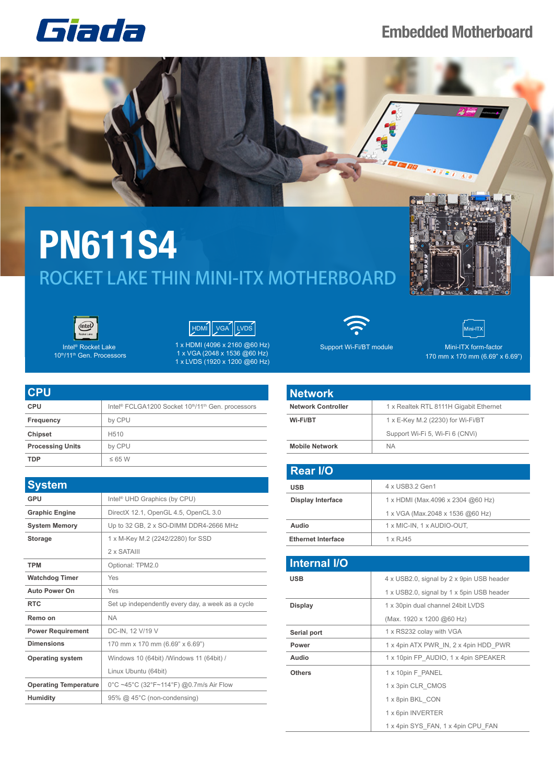## Giada

## **Embedded Motherboard**



## **PN611S4** ROCKET LAKE THIN MINI-ITX MOTHERBOARD





Intel® Rocket Lake 10th/11th Gen. Processors



1 x HDMI (4096 x 2160 @60 Hz) 1 x VGA (2048 x 1536 @60 Hz) 1 x LVDS (1920 x 1200 @60 Hz)

| <b>CPU</b>              |                                                                                        |
|-------------------------|----------------------------------------------------------------------------------------|
| <b>CPU</b>              | Intel <sup>®</sup> FCLGA1200 Socket 10 <sup>th</sup> /11 <sup>th</sup> Gen. processors |
| Frequency               | by CPU                                                                                 |
| <b>Chipset</b>          | H <sub>510</sub>                                                                       |
| <b>Processing Units</b> | by CPU                                                                                 |
| TDP                     | $\leq 65$ W                                                                            |

| <b>System</b>                |                                                   |
|------------------------------|---------------------------------------------------|
| GPU                          | Intel <sup>®</sup> UHD Graphics (by CPU)          |
| <b>Graphic Engine</b>        | DirectX 12.1, OpenGL 4.5, OpenCL 3.0              |
| <b>System Memory</b>         | Up to 32 GB, 2 x SO-DIMM DDR4-2666 MHz            |
| <b>Storage</b>               | 1 x M-Key M.2 (2242/2280) for SSD                 |
|                              | 2 x SATAIII                                       |
| <b>TPM</b>                   | Optional: TPM2.0                                  |
| <b>Watchdog Timer</b>        | Yes                                               |
| <b>Auto Power On</b>         | Yes                                               |
| <b>RTC</b>                   | Set up independently every day, a week as a cycle |
| Remo on                      | <b>NA</b>                                         |
| <b>Power Requirement</b>     | DC-IN, 12 V/19 V                                  |
| <b>Dimensions</b>            | 170 mm x 170 mm (6.69" x 6.69")                   |
| <b>Operating system</b>      | Windows 10 (64bit) / Windows 11 (64bit) /         |
|                              | Linux Ubuntu (64bit)                              |
| <b>Operating Temperature</b> | 0°C ~45°C (32°F~114°F) @0.7m/s Air Flow           |
| <b>Humidity</b>              | 95% @ 45°C (non-condensing)                       |



Support Wi-Fi/BT module



Mini-ITX form-factor 170 mm x 170 mm (6.69" x 6.69")

| <b>Network</b>            |                                        |
|---------------------------|----------------------------------------|
| <b>Network Controller</b> | 1 x Realtek RTL 8111H Gigabit Ethernet |
| Wi-Fi/BT                  | 1 x E-Key M.2 (2230) for Wi-Fi/BT      |
|                           | Support Wi-Fi 5, Wi-Fi 6 (CNVi)        |
| <b>Mobile Network</b>     | <b>NA</b>                              |

| <b>Rear I/O</b>           |                                   |
|---------------------------|-----------------------------------|
| <b>USB</b>                | 4 x USB3.2 Gen1                   |
| <b>Display Interface</b>  | 1 x HDMI (Max.4096 x 2304 @60 Hz) |
|                           | 1 x VGA (Max.2048 x 1536 @60 Hz)  |
| Audio                     | 1 x MIC-IN, 1 x AUDIO-OUT,        |
| <b>Ethernet Interface</b> | 1 x RJ45                          |

| <b>Internal I/O</b> |                                           |
|---------------------|-------------------------------------------|
| <b>USB</b>          | 4 x USB2.0, signal by 2 x 9pin USB header |
|                     | 1 x USB2.0, signal by 1 x 5pin USB header |
| <b>Display</b>      | 1 x 30pin dual channel 24bit LVDS         |
|                     | (Max. 1920 x 1200 @60 Hz)                 |
| Serial port         | 1 x RS232 colay with VGA                  |
| Power               | 1 x 4pin ATX PWR IN, 2 x 4pin HDD PWR     |
| Audio               | 1 x 10pin FP AUDIO, 1 x 4pin SPEAKER      |
| <b>Others</b>       | 1 x 10pin F PANEL                         |
|                     | 1 x 3pin CLR CMOS                         |
|                     | 1 x 8pin BKL CON                          |
|                     | 1 x 6pin INVERTER                         |
|                     | 1 x 4pin SYS FAN, 1 x 4pin CPU FAN        |